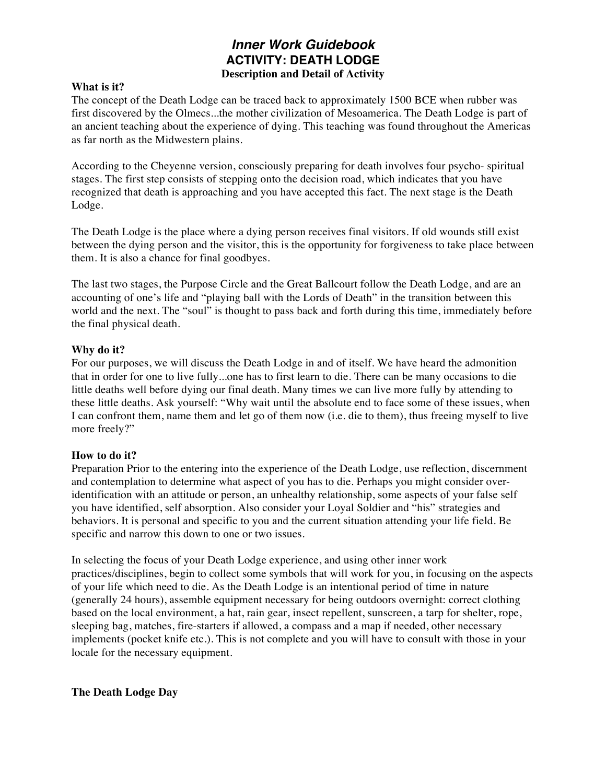# *Inner Work Guidebook* **ACTIVITY: DEATH LODGE Description and Detail of Activity**

## **What is it?**

The concept of the Death Lodge can be traced back to approximately 1500 BCE when rubber was first discovered by the Olmecs...the mother civilization of Mesoamerica. The Death Lodge is part of an ancient teaching about the experience of dying. This teaching was found throughout the Americas as far north as the Midwestern plains.

According to the Cheyenne version, consciously preparing for death involves four psycho- spiritual stages. The first step consists of stepping onto the decision road, which indicates that you have recognized that death is approaching and you have accepted this fact. The next stage is the Death Lodge.

The Death Lodge is the place where a dying person receives final visitors. If old wounds still exist between the dying person and the visitor, this is the opportunity for forgiveness to take place between them. It is also a chance for final goodbyes.

The last two stages, the Purpose Circle and the Great Ballcourt follow the Death Lodge, and are an accounting of one's life and "playing ball with the Lords of Death" in the transition between this world and the next. The "soul" is thought to pass back and forth during this time, immediately before the final physical death.

## **Why do it?**

For our purposes, we will discuss the Death Lodge in and of itself. We have heard the admonition that in order for one to live fully...one has to first learn to die. There can be many occasions to die little deaths well before dying our final death. Many times we can live more fully by attending to these little deaths. Ask yourself: "Why wait until the absolute end to face some of these issues, when I can confront them, name them and let go of them now (i.e. die to them), thus freeing myself to live more freely?"

#### **How to do it?**

Preparation Prior to the entering into the experience of the Death Lodge, use reflection, discernment and contemplation to determine what aspect of you has to die. Perhaps you might consider overidentification with an attitude or person, an unhealthy relationship, some aspects of your false self you have identified, self absorption. Also consider your Loyal Soldier and "his" strategies and behaviors. It is personal and specific to you and the current situation attending your life field. Be specific and narrow this down to one or two issues.

In selecting the focus of your Death Lodge experience, and using other inner work practices/disciplines, begin to collect some symbols that will work for you, in focusing on the aspects of your life which need to die. As the Death Lodge is an intentional period of time in nature (generally 24 hours), assemble equipment necessary for being outdoors overnight: correct clothing based on the local environment, a hat, rain gear, insect repellent, sunscreen, a tarp for shelter, rope, sleeping bag, matches, fire-starters if allowed, a compass and a map if needed, other necessary implements (pocket knife etc.). This is not complete and you will have to consult with those in your locale for the necessary equipment.

#### **The Death Lodge Day**